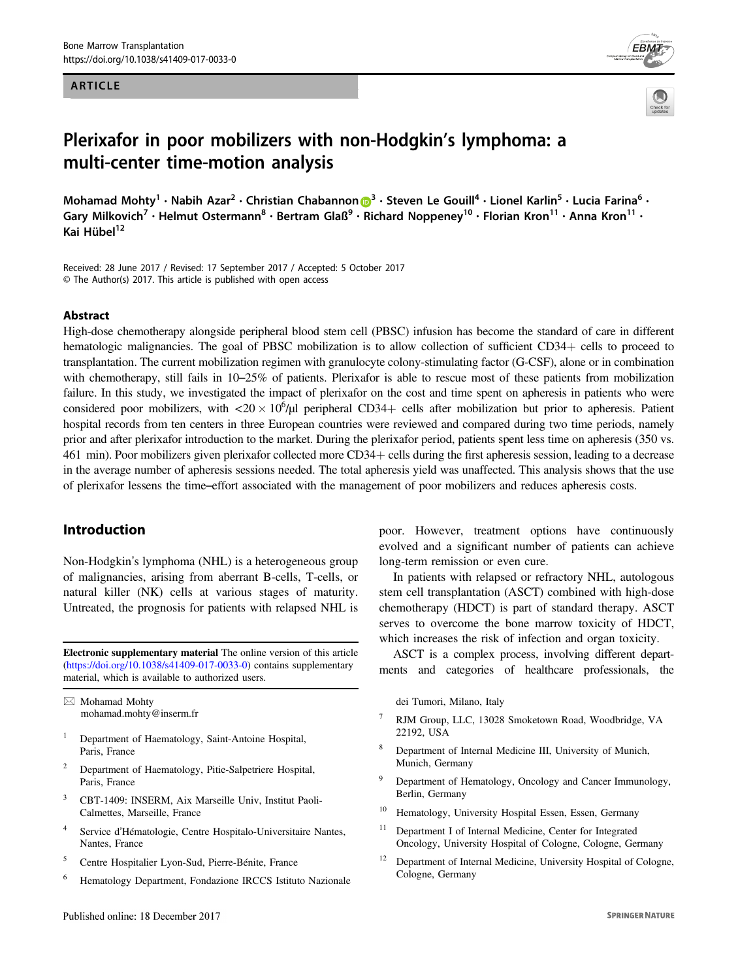#### ARTICLE





# Plerixafor in poor mobilizers with non-Hodgkin's lymphoma: a multi-center time-motion analysis

Mohamad Mohtv<sup>1</sup> • Nabih Azar<sup>2</sup> • Christian Chabannon D<sup>[3](http://orcid.org/0000-0002-3755-4889)</sup> • Steven Le Gouill<sup>4</sup> • Lionel Karlin<sup>5</sup> • Lucia Farina<sup>6</sup> • Gary Milkovich<sup>7</sup> • Helmut Ostermann<sup>8</sup> • Bertram Glaß<sup>9</sup> • Richard Noppeney<sup>10</sup> • Florian Kron<sup>11</sup> • Anna Kron<sup>11</sup> • Kai Hübel<sup>12</sup>

Received: 28 June 2017 / Revised: 17 September 2017 / Accepted: 5 October 2017 © The Author(s) 2017. This article is published with open access

#### Abstract

High-dose chemotherapy alongside peripheral blood stem cell (PBSC) infusion has become the standard of care in different hematologic malignancies. The goal of PBSC mobilization is to allow collection of sufficient CD34+ cells to proceed to transplantation. The current mobilization regimen with granulocyte colony-stimulating factor (G-CSF), alone or in combination with chemotherapy, still fails in 10–25% of patients. Plerixafor is able to rescue most of these patients from mobilization failure. In this study, we investigated the impact of plerixafor on the cost and time spent on apheresis in patients who were considered poor mobilizers, with  $\langle 20 \times 10^6 / \mu$  peripheral CD34+ cells after mobilization but prior to apheresis. Patient hospital records from ten centers in three European countries were reviewed and compared during two time periods, namely prior and after plerixafor introduction to the market. During the plerixafor period, patients spent less time on apheresis (350 vs. 461 min). Poor mobilizers given plerixafor collected more CD34+ cells during the first apheresis session, leading to a decrease in the average number of apheresis sessions needed. The total apheresis yield was unaffected. This analysis shows that the use of plerixafor lessens the time–effort associated with the management of poor mobilizers and reduces apheresis costs.

# Introduction

Non-Hodgkin's lymphoma (NHL) is a heterogeneous group of malignancies, arising from aberrant B-cells, T-cells, or natural killer (NK) cells at various stages of maturity. Untreated, the prognosis for patients with relapsed NHL is

Electronic supplementary material The online version of this article ([https://doi.org/10.1038/s41409-017-0033-0\)](https://doi.org/10.1038/s41409-017-0033-0) contains supplementary material, which is available to authorized users.

 $\boxtimes$  Mohamad Mohty [mohamad.mohty@inserm.fr](mailto:mohamad.mohty@inserm.fr)

- <sup>1</sup> Department of Haematology, Saint-Antoine Hospital, Paris, France
- <sup>2</sup> Department of Haematology, Pitie-Salpetriere Hospital, Paris, France
- <sup>3</sup> CBT-1409: INSERM, Aix Marseille Univ, Institut Paoli-Calmettes, Marseille, France
- Service d'Hématologie, Centre Hospitalo-Universitaire Nantes, Nantes, France
- <sup>5</sup> Centre Hospitalier Lyon-Sud, Pierre-Bénite, France
- <sup>6</sup> Hematology Department, Fondazione IRCCS Istituto Nazionale

poor. However, treatment options have continuously evolved and a significant number of patients can achieve long-term remission or even cure.

In patients with relapsed or refractory NHL, autologous stem cell transplantation (ASCT) combined with high-dose chemotherapy (HDCT) is part of standard therapy. ASCT serves to overcome the bone marrow toxicity of HDCT, which increases the risk of infection and organ toxicity.

ASCT is a complex process, involving different departments and categories of healthcare professionals, the

dei Tumori, Milano, Italy

- RJM Group, LLC, 13028 Smoketown Road, Woodbridge, VA 22192, USA
- <sup>8</sup> Department of Internal Medicine III, University of Munich, Munich, Germany
- <sup>9</sup> Department of Hematology, Oncology and Cancer Immunology, Berlin, Germany
- <sup>10</sup> Hematology, University Hospital Essen, Essen, Germany
- <sup>11</sup> Department I of Internal Medicine, Center for Integrated Oncology, University Hospital of Cologne, Cologne, Germany
- Department of Internal Medicine, University Hospital of Cologne, Cologne, Germany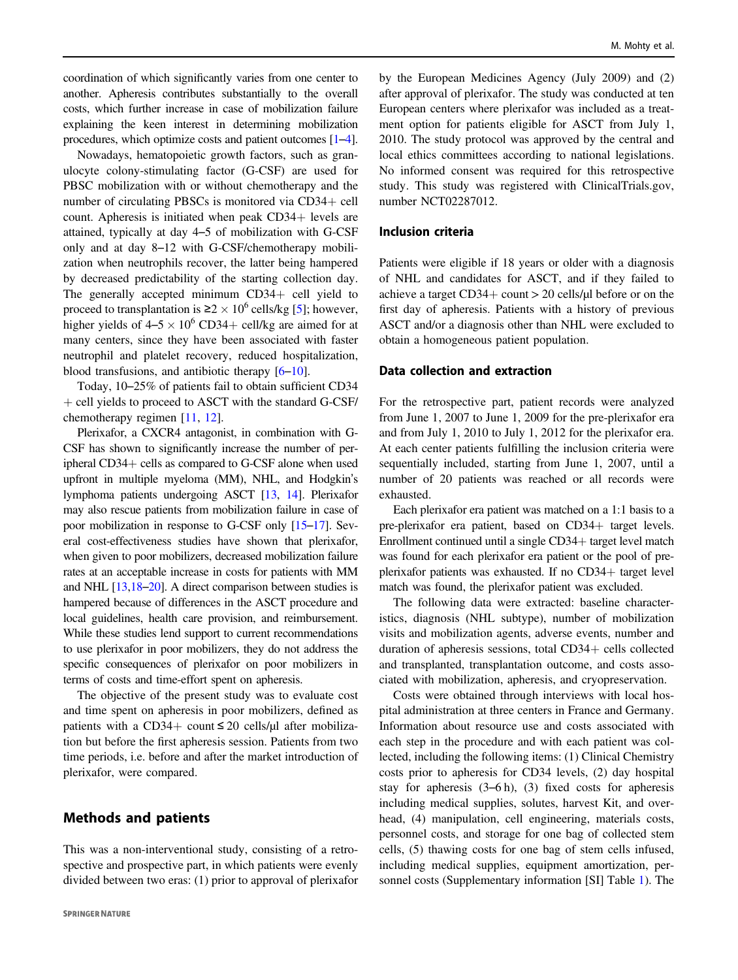coordination of which significantly varies from one center to another. Apheresis contributes substantially to the overall costs, which further increase in case of mobilization failure explaining the keen interest in determining mobilization procedures, which optimize costs and patient outcomes [\[1](#page-7-0)–[4\]](#page-7-0).

Nowadays, hematopoietic growth factors, such as granulocyte colony-stimulating factor (G-CSF) are used for PBSC mobilization with or without chemotherapy and the number of circulating PBSCs is monitored via CD34+ cell count. Apheresis is initiated when peak CD34+ levels are attained, typically at day 4–5 of mobilization with G-CSF only and at day 8–12 with G-CSF/chemotherapy mobilization when neutrophils recover, the latter being hampered by decreased predictability of the starting collection day. The generally accepted minimum CD34+ cell yield to proceed to transplantation is  $\geq 2 \times 10^6$  cells/kg [\[5](#page-7-0)]; however, higher yields of  $4-5 \times 10^6$  CD34+ cell/kg are aimed for at many centers, since they have been associated with faster neutrophil and platelet recovery, reduced hospitalization, blood transfusions, and antibiotic therapy [[6](#page-7-0)–[10\]](#page-7-0).

Today, 10–25% of patients fail to obtain sufficient CD34 + cell yields to proceed to ASCT with the standard G-CSF/ chemotherapy regimen [\[11](#page-7-0), [12](#page-8-0)].

Plerixafor, a CXCR4 antagonist, in combination with G-CSF has shown to significantly increase the number of peripheral CD34+ cells as compared to G-CSF alone when used upfront in multiple myeloma (MM), NHL, and Hodgkin's lymphoma patients undergoing ASCT [[13](#page-8-0), [14\]](#page-8-0). Plerixafor may also rescue patients from mobilization failure in case of poor mobilization in response to G-CSF only [\[15](#page-8-0)–[17](#page-8-0)]. Several cost-effectiveness studies have shown that plerixafor, when given to poor mobilizers, decreased mobilization failure rates at an acceptable increase in costs for patients with MM and NHL [\[13,18](#page-8-0)–[20\]](#page-8-0). A direct comparison between studies is hampered because of differences in the ASCT procedure and local guidelines, health care provision, and reimbursement. While these studies lend support to current recommendations to use plerixafor in poor mobilizers, they do not address the specific consequences of plerixafor on poor mobilizers in terms of costs and time-effort spent on apheresis.

The objective of the present study was to evaluate cost and time spent on apheresis in poor mobilizers, defined as patients with a CD34+ count  $\leq$  20 cells/ $\mu$ l after mobilization but before the first apheresis session. Patients from two time periods, i.e. before and after the market introduction of plerixafor, were compared.

# Methods and patients

This was a non-interventional study, consisting of a retrospective and prospective part, in which patients were evenly divided between two eras: (1) prior to approval of plerixafor by the European Medicines Agency (July 2009) and (2) after approval of plerixafor. The study was conducted at ten European centers where plerixafor was included as a treatment option for patients eligible for ASCT from July 1, 2010. The study protocol was approved by the central and local ethics committees according to national legislations. No informed consent was required for this retrospective study. This study was registered with ClinicalTrials.gov, number NCT02287012.

#### Inclusion criteria

Patients were eligible if 18 years or older with a diagnosis of NHL and candidates for ASCT, and if they failed to achieve a target CD34+ count > 20 cells/µl before or on the first day of apheresis. Patients with a history of previous ASCT and/or a diagnosis other than NHL were excluded to obtain a homogeneous patient population.

### Data collection and extraction

For the retrospective part, patient records were analyzed from June 1, 2007 to June 1, 2009 for the pre-plerixafor era and from July 1, 2010 to July 1, 2012 for the plerixafor era. At each center patients fulfilling the inclusion criteria were sequentially included, starting from June 1, 2007, until a number of 20 patients was reached or all records were exhausted.

Each plerixafor era patient was matched on a 1:1 basis to a pre-plerixafor era patient, based on CD34+ target levels. Enrollment continued until a single CD34+ target level match was found for each plerixafor era patient or the pool of preplerixafor patients was exhausted. If no CD34+ target level match was found, the plerixafor patient was excluded.

The following data were extracted: baseline characteristics, diagnosis (NHL subtype), number of mobilization visits and mobilization agents, adverse events, number and duration of apheresis sessions, total CD34+ cells collected and transplanted, transplantation outcome, and costs associated with mobilization, apheresis, and cryopreservation.

Costs were obtained through interviews with local hospital administration at three centers in France and Germany. Information about resource use and costs associated with each step in the procedure and with each patient was collected, including the following items: (1) Clinical Chemistry costs prior to apheresis for CD34 levels, (2) day hospital stay for apheresis  $(3-6 h)$ ,  $(3)$  fixed costs for apheresis including medical supplies, solutes, harvest Kit, and overhead, (4) manipulation, cell engineering, materials costs, personnel costs, and storage for one bag of collected stem cells, (5) thawing costs for one bag of stem cells infused, including medical supplies, equipment amortization, personnel costs (Supplementary information [SI] Table [1](#page-2-0)). The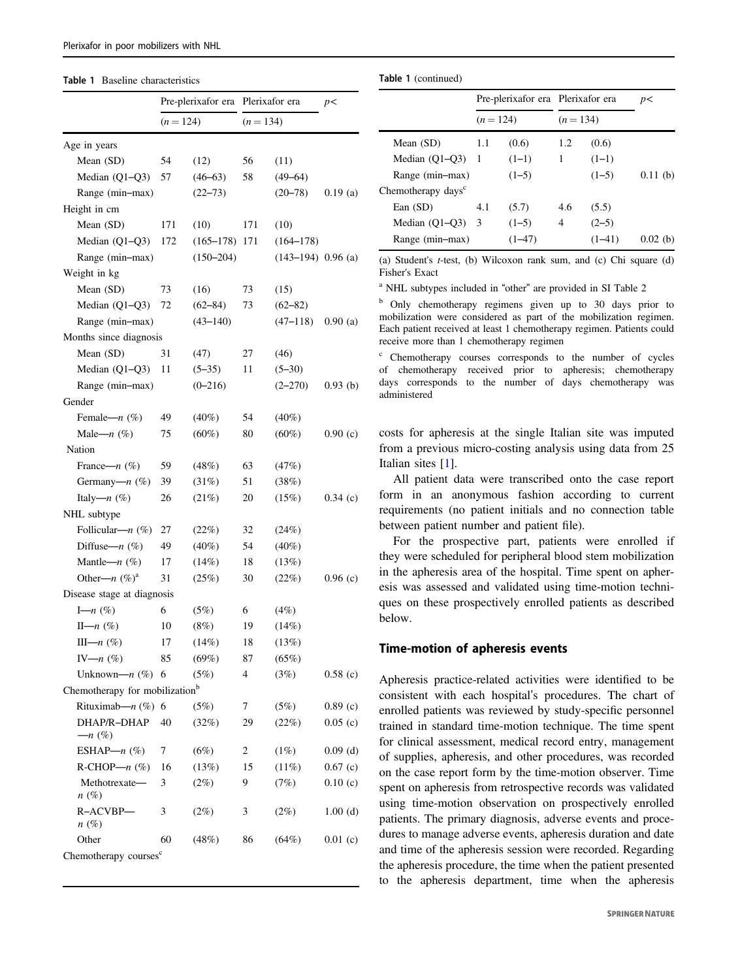#### <span id="page-2-0"></span>Table 1 Baseline characteristics

|                                            | Pre-plerixafor era Plerixafor era<br>$(n = 124)$ |               |             |                      | p          |  |
|--------------------------------------------|--------------------------------------------------|---------------|-------------|----------------------|------------|--|
|                                            |                                                  |               | $(n = 134)$ |                      |            |  |
| Age in years                               |                                                  |               |             |                      |            |  |
| Mean (SD)                                  | 54                                               | (12)          | 56          | (11)                 |            |  |
| Median $(Q1-Q3)$                           | 57                                               | $(46 - 63)$   | 58          | $(49-64)$            |            |  |
| Range (min-max)                            |                                                  | $(22 - 73)$   |             | $(20 - 78)$          | $0.19$ (a) |  |
| Height in cm                               |                                                  |               |             |                      |            |  |
| Mean (SD)                                  | 171                                              | (10)          | 171         | (10)                 |            |  |
| Median (Q1-Q3)                             | 172                                              | $(165 - 178)$ | 171         | $(164 - 178)$        |            |  |
| Range (min-max)                            |                                                  | $(150 - 204)$ |             | $(143-194)$ 0.96 (a) |            |  |
| Weight in kg                               |                                                  |               |             |                      |            |  |
| Mean (SD)                                  | 73                                               | (16)          | 73          | (15)                 |            |  |
| Median (Q1-Q3)                             | 72                                               | $(62 - 84)$   | 73          | $(62 - 82)$          |            |  |
| Range (min-max)                            |                                                  | $(43 - 140)$  |             | $(47 - 118)$         | 0.90(a)    |  |
| Months since diagnosis                     |                                                  |               |             |                      |            |  |
| Mean (SD)                                  | 31                                               | (47)          | 27          | (46)                 |            |  |
| Median (Q1-Q3)                             | 11                                               | $(5-35)$      | 11          | $(5 - 30)$           |            |  |
| Range (min-max)                            |                                                  | $(0-216)$     |             | $(2 - 270)$          | $0.93$ (b) |  |
| Gender                                     |                                                  |               |             |                      |            |  |
| Female- $n$ (%)                            | 49                                               | $(40\%)$      | 54          | $(40\%)$             |            |  |
| Male— $n$ $(\%)$                           | 75                                               | $(60\%)$      | 80          | $(60\%)$             | 0.90(c)    |  |
| Nation                                     |                                                  |               |             |                      |            |  |
| France— $n$ (%)                            | 59                                               | (48%)         | 63          | (47%)                |            |  |
| Germany- $n$ (%)                           | 39                                               | (31%)         | 51          | (38%)                |            |  |
| Italy— $n$ (%)                             | 26                                               | (21%)         | 20          | (15%)                | 0.34(c)    |  |
| NHL subtype                                |                                                  |               |             |                      |            |  |
| Follicular-n (%)                           | 27                                               | (22%)         | 32          | (24%)                |            |  |
| Diffuse— $n$ (%)                           | 49                                               | $(40\%)$      | 54          | $(40\%)$             |            |  |
| Mantle- $n$ (%)                            | 17                                               | (14%)         | 18          | (13%)                |            |  |
| Other— $n (\%)^a$                          | 31                                               | (25%)         | 30          | (22%)                | 0.96(c)    |  |
| Disease stage at diagnosis                 |                                                  |               |             |                      |            |  |
| I- $n$ $(\%)$<br>II- $n$ (%)               | 6                                                | (5%)          | 6           | (4%)                 |            |  |
| III— $n$ (%)                               | 10                                               | (8%)<br>(14%) | 19          | (14%)                |            |  |
| IV— $n$ $(\%)$                             | 17<br>85                                         | $(69\%)$      | 18<br>87    | (13%)<br>(65%)       |            |  |
| Unknown— $n$ (%)                           | 6                                                | (5%)          | 4           | (3%)                 | 0.58(c)    |  |
| Chemotherapy for mobilization <sup>b</sup> |                                                  |               |             |                      |            |  |
| Rituximab— $n$ (%) 6                       |                                                  | (5%)          | 7           | (5%)                 | 0.89(c)    |  |
| DHAP/R-DHAP                                | 40                                               | (32%)         | 29          | (22%)                | 0.05(c)    |  |
| $-n \ (\%)$                                |                                                  |               |             |                      |            |  |
| ESHAP— $n$ (%)                             | 7                                                | (6%)          | 2           | (1%)                 | $0.09$ (d) |  |
| R-CHOP— $n$ (%)                            | 16                                               | (13%)         | 15          | (11%)                | $0.67$ (c) |  |
| Methotrexate-<br>$n\ (\%)$                 | 3                                                | (2%)          | 9           | (7%)                 | 0.10(c)    |  |
| R-ACVBP-<br>$n\ (\%)$                      | 3                                                | $(2\%)$       | 3           | $(2\%)$              | 1.00(d)    |  |
| Other                                      | 60                                               | (48%)         | 86          | (64%)                | 0.01(c)    |  |
| Chemotherapy courses <sup>c</sup>          |                                                  |               |             |                      |            |  |

|                                | Pre-plerixafor era Plerixafor era<br>$(n=124)$ |          |           |          | p<         |
|--------------------------------|------------------------------------------------|----------|-----------|----------|------------|
|                                |                                                |          | $(n=134)$ |          |            |
| Mean $(SD)$                    | 1.1                                            | (0.6)    | 1.2       | (0.6)    |            |
| Median $(Q1-Q3)$ 1             |                                                | $(1-1)$  | 1         | $(1-1)$  |            |
| Range (min-max)                |                                                | $(1-5)$  |           | $(1-5)$  | 0.11(b)    |
| Chemotherapy days <sup>c</sup> |                                                |          |           |          |            |
| Ean(SD)                        | 4.1                                            | (5.7)    | 4.6       | (5.5)    |            |
| Median $(Q1-Q3)$               | - 3                                            | $(1-5)$  | 4         | $(2-5)$  |            |
| Range (min-max)                |                                                | $(1-47)$ |           | $(1-41)$ | $0.02$ (b) |

(a) Student's t-test, (b) Wilcoxon rank sum, and (c) Chi square (d) Fisher's Exact

<sup>a</sup> NHL subtypes included in "other" are provided in SI Table 2

<sup>b</sup> Only chemotherapy regimens given up to 30 days prior to mobilization were considered as part of the mobilization regimen. Each patient received at least 1 chemotherapy regimen. Patients could receive more than 1 chemotherapy regimen

<sup>c</sup> Chemotherapy courses corresponds to the number of cycles of chemotherapy received prior to apheresis; chemotherapy days corresponds to the number of days chemotherapy was administered

costs for apheresis at the single Italian site was imputed from a previous micro-costing analysis using data from 25 Italian sites [[1\]](#page-7-0).

All patient data were transcribed onto the case report form in an anonymous fashion according to current requirements (no patient initials and no connection table between patient number and patient file).

For the prospective part, patients were enrolled if they were scheduled for peripheral blood stem mobilization in the apheresis area of the hospital. Time spent on apheresis was assessed and validated using time-motion techniques on these prospectively enrolled patients as described below.

## Time-motion of apheresis events

Apheresis practice-related activities were identified to be consistent with each hospital's procedures. The chart of enrolled patients was reviewed by study-specific personnel trained in standard time-motion technique. The time spent for clinical assessment, medical record entry, management of supplies, apheresis, and other procedures, was recorded on the case report form by the time-motion observer. Time spent on apheresis from retrospective records was validated using time-motion observation on prospectively enrolled patients. The primary diagnosis, adverse events and procedures to manage adverse events, apheresis duration and date and time of the apheresis session were recorded. Regarding the apheresis procedure, the time when the patient presented to the apheresis department, time when the apheresis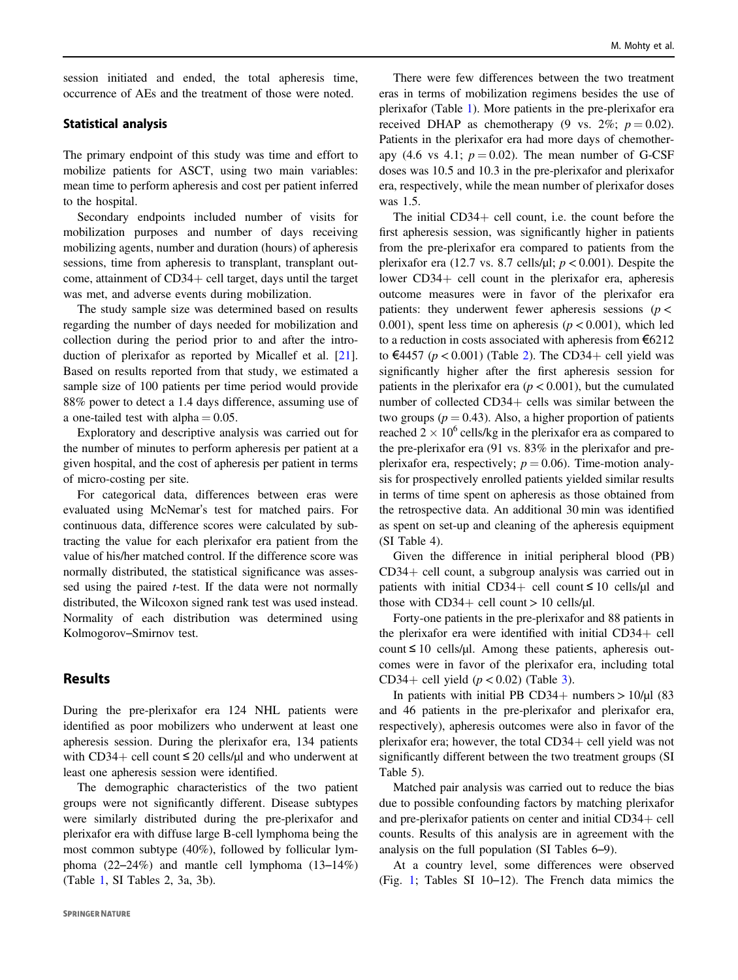session initiated and ended, the total apheresis time, occurrence of AEs and the treatment of those were noted.

#### Statistical analysis

The primary endpoint of this study was time and effort to mobilize patients for ASCT, using two main variables: mean time to perform apheresis and cost per patient inferred to the hospital.

Secondary endpoints included number of visits for mobilization purposes and number of days receiving mobilizing agents, number and duration (hours) of apheresis sessions, time from apheresis to transplant, transplant outcome, attainment of CD34+ cell target, days until the target was met, and adverse events during mobilization.

The study sample size was determined based on results regarding the number of days needed for mobilization and collection during the period prior to and after the introduction of plerixafor as reported by Micallef et al. [\[21](#page-8-0)]. Based on results reported from that study, we estimated a sample size of 100 patients per time period would provide 88% power to detect a 1.4 days difference, assuming use of a one-tailed test with  $alpha = 0.05$ .

Exploratory and descriptive analysis was carried out for the number of minutes to perform apheresis per patient at a given hospital, and the cost of apheresis per patient in terms of micro-costing per site.

For categorical data, differences between eras were evaluated using McNemar's test for matched pairs. For continuous data, difference scores were calculated by subtracting the value for each plerixafor era patient from the value of his/her matched control. If the difference score was normally distributed, the statistical significance was assessed using the paired *t*-test. If the data were not normally distributed, the Wilcoxon signed rank test was used instead. Normality of each distribution was determined using Kolmogorov–Smirnov test.

# **Results**

During the pre-plerixafor era 124 NHL patients were identified as poor mobilizers who underwent at least one apheresis session. During the plerixafor era, 134 patients with CD34+ cell count  $\leq$  20 cells/ $\mu$ l and who underwent at least one apheresis session were identified.

The demographic characteristics of the two patient groups were not significantly different. Disease subtypes were similarly distributed during the pre-plerixafor and plerixafor era with diffuse large B-cell lymphoma being the most common subtype (40%), followed by follicular lymphoma (22–24%) and mantle cell lymphoma (13–14%) (Table [1](#page-2-0), SI Tables 2, 3a, 3b).

There were few differences between the two treatment eras in terms of mobilization regimens besides the use of plerixafor (Table [1\)](#page-2-0). More patients in the pre-plerixafor era received DHAP as chemotherapy (9 vs.  $2\%$ ;  $p = 0.02$ ). Patients in the plerixafor era had more days of chemotherapy (4.6 vs 4.1;  $p = 0.02$ ). The mean number of G-CSF doses was 10.5 and 10.3 in the pre-plerixafor and plerixafor era, respectively, while the mean number of plerixafor doses was 1.5.

The initial CD34+ cell count, i.e. the count before the first apheresis session, was significantly higher in patients from the pre-plerixafor era compared to patients from the plerixafor era (12.7 vs. 8.7 cells/ $\mu$ l;  $p < 0.001$ ). Despite the lower CD34+ cell count in the plerixafor era, apheresis outcome measures were in favor of the plerixafor era patients: they underwent fewer apheresis sessions ( $p <$ 0.001), spent less time on apheresis ( $p < 0.001$ ), which led to a reduction in costs associated with apheresis from  $\epsilon$ 6212 to €4457 ( $p$  < 0.001) (Table [2\)](#page-4-0). The CD34+ cell yield was significantly higher after the first apheresis session for patients in the plerixafor era ( $p < 0.001$ ), but the cumulated number of collected CD34+ cells was similar between the two groups ( $p = 0.43$ ). Also, a higher proportion of patients reached  $2 \times 10^6$  cells/kg in the plerixafor era as compared to the pre-plerixafor era (91 vs. 83% in the plerixafor and preplerixafor era, respectively;  $p = 0.06$ ). Time-motion analysis for prospectively enrolled patients yielded similar results in terms of time spent on apheresis as those obtained from the retrospective data. An additional 30 min was identified as spent on set-up and cleaning of the apheresis equipment (SI Table 4).

Given the difference in initial peripheral blood (PB) CD34+ cell count, a subgroup analysis was carried out in patients with initial CD34+ cell count  $\leq 10$  cells/ $\mu$ l and those with  $CD34+$  cell count  $> 10$  cells/µl.

Forty-one patients in the pre-plerixafor and 88 patients in the plerixafor era were identified with initial CD34+ cell count  $\leq 10$  cells/ $\mu$ l. Among these patients, apheresis outcomes were in favor of the plerixafor era, including total CD[3](#page-5-0)4+ cell yield  $(p < 0.02)$  (Table 3).

In patients with initial PB CD34+ numbers  $> 10/\mu$ l (83 and 46 patients in the pre-plerixafor and plerixafor era, respectively), apheresis outcomes were also in favor of the plerixafor era; however, the total CD34+ cell yield was not significantly different between the two treatment groups (SI Table 5).

Matched pair analysis was carried out to reduce the bias due to possible confounding factors by matching plerixafor and pre-plerixafor patients on center and initial CD34+ cell counts. Results of this analysis are in agreement with the analysis on the full population (SI Tables 6–9).

At a country level, some differences were observed (Fig. [1](#page-6-0); Tables SI 10–12). The French data mimics the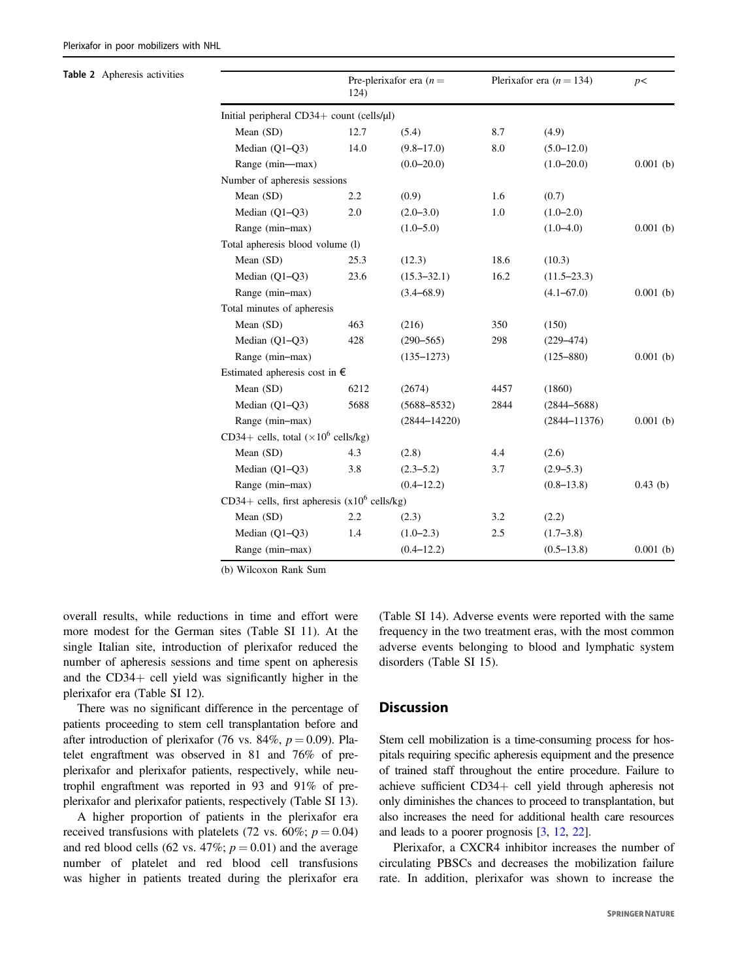#### <span id="page-4-0"></span>Table 2 Apheresis activities

|                                                         | 124)                                      | Pre-plerixafor era $(n=$ | Plerixafor era ( $n = 134$ ) |                  | p<          |  |  |  |
|---------------------------------------------------------|-------------------------------------------|--------------------------|------------------------------|------------------|-------------|--|--|--|
|                                                         | Initial peripheral CD34+ count (cells/µl) |                          |                              |                  |             |  |  |  |
| Mean (SD)                                               | 12.7                                      | (5.4)                    | 8.7                          | (4.9)            |             |  |  |  |
| Median (Q1-Q3)                                          | 14.0                                      | $(9.8 - 17.0)$           | 8.0                          | $(5.0 - 12.0)$   |             |  |  |  |
| Range (min-max)                                         |                                           | $(0.0 - 20.0)$           |                              | $(1.0 - 20.0)$   | $0.001$ (b) |  |  |  |
| Number of apheresis sessions                            |                                           |                          |                              |                  |             |  |  |  |
| Mean (SD)                                               | 2.2                                       | (0.9)                    | 1.6                          | (0.7)            |             |  |  |  |
| Median $(Q1-Q3)$                                        | 2.0                                       | $(2.0 - 3.0)$            | 1.0                          | $(1.0 - 2.0)$    |             |  |  |  |
| Range (min-max)                                         |                                           | $(1.0 - 5.0)$            |                              | $(1.0 - 4.0)$    | $0.001$ (b) |  |  |  |
| Total apheresis blood volume (l)                        |                                           |                          |                              |                  |             |  |  |  |
| Mean (SD)                                               | 25.3                                      | (12.3)                   | 18.6                         | (10.3)           |             |  |  |  |
| Median $(Q1-Q3)$                                        | 23.6                                      | $(15.3 - 32.1)$          | 16.2                         | $(11.5 - 23.3)$  |             |  |  |  |
| Range (min-max)                                         |                                           | $(3.4 - 68.9)$           |                              | $(4.1 - 67.0)$   | $0.001$ (b) |  |  |  |
| Total minutes of apheresis                              |                                           |                          |                              |                  |             |  |  |  |
| Mean (SD)                                               | 463                                       | (216)                    | 350                          | (150)            |             |  |  |  |
| Median $(Q1-Q3)$                                        | 428                                       | $(290 - 565)$            | 298                          | $(229 - 474)$    |             |  |  |  |
| Range (min-max)                                         |                                           | $(135 - 1273)$           |                              | $(125 - 880)$    | $0.001$ (b) |  |  |  |
| Estimated apheresis cost in $\epsilon$                  |                                           |                          |                              |                  |             |  |  |  |
| Mean (SD)                                               | 6212                                      | (2674)                   | 4457                         | (1860)           |             |  |  |  |
| Median $(Q1-Q3)$                                        | 5688                                      | $(5688 - 8532)$          | 2844                         | $(2844 - 5688)$  |             |  |  |  |
| Range (min-max)                                         |                                           | $(2844 - 14220)$         |                              | $(2844 - 11376)$ | $0.001$ (b) |  |  |  |
| CD34+ cells, total $(\times 10^6 \text{ cells/kg})$     |                                           |                          |                              |                  |             |  |  |  |
| Mean (SD)                                               | 4.3                                       | (2.8)                    | 4.4                          | (2.6)            |             |  |  |  |
| Median $(Q1-Q3)$                                        | 3.8                                       | $(2.3 - 5.2)$            | 3.7                          | $(2.9 - 5.3)$    |             |  |  |  |
| Range (min-max)                                         |                                           | $(0.4 - 12.2)$           |                              | $(0.8 - 13.8)$   | $0.43$ (b)  |  |  |  |
| CD34+ cells, first apheresis $(x10^6 \text{ cells/kg})$ |                                           |                          |                              |                  |             |  |  |  |
| Mean (SD)                                               | 2.2                                       | (2.3)                    | 3.2                          | (2.2)            |             |  |  |  |
| Median $(Q1-Q3)$                                        | 1.4                                       | $(1.0-2.3)$              | 2.5                          | $(1.7-3.8)$      |             |  |  |  |
| Range (min-max)                                         |                                           | $(0.4 - 12.2)$           |                              | $(0.5 - 13.8)$   | $0.001$ (b) |  |  |  |

(b) Wilcoxon Rank Sum

overall results, while reductions in time and effort were more modest for the German sites (Table SI 11). At the single Italian site, introduction of plerixafor reduced the number of apheresis sessions and time spent on apheresis and the CD34+ cell yield was significantly higher in the plerixafor era (Table SI 12).

There was no significant difference in the percentage of patients proceeding to stem cell transplantation before and after introduction of plerixafor (76 vs. 84%,  $p = 0.09$ ). Platelet engraftment was observed in 81 and 76% of preplerixafor and plerixafor patients, respectively, while neutrophil engraftment was reported in 93 and 91% of preplerixafor and plerixafor patients, respectively (Table SI 13).

A higher proportion of patients in the plerixafor era received transfusions with platelets (72 vs. 60%;  $p = 0.04$ ) and red blood cells (62 vs. 47%;  $p = 0.01$ ) and the average number of platelet and red blood cell transfusions was higher in patients treated during the plerixafor era

(Table SI 14). Adverse events were reported with the same frequency in the two treatment eras, with the most common adverse events belonging to blood and lymphatic system disorders (Table SI 15).

# **Discussion**

Stem cell mobilization is a time-consuming process for hospitals requiring specific apheresis equipment and the presence of trained staff throughout the entire procedure. Failure to achieve sufficient CD34+ cell yield through apheresis not only diminishes the chances to proceed to transplantation, but also increases the need for additional health care resources and leads to a poorer prognosis [\[3](#page-7-0), [12](#page-8-0), [22\]](#page-8-0).

Plerixafor, a CXCR4 inhibitor increases the number of circulating PBSCs and decreases the mobilization failure rate. In addition, plerixafor was shown to increase the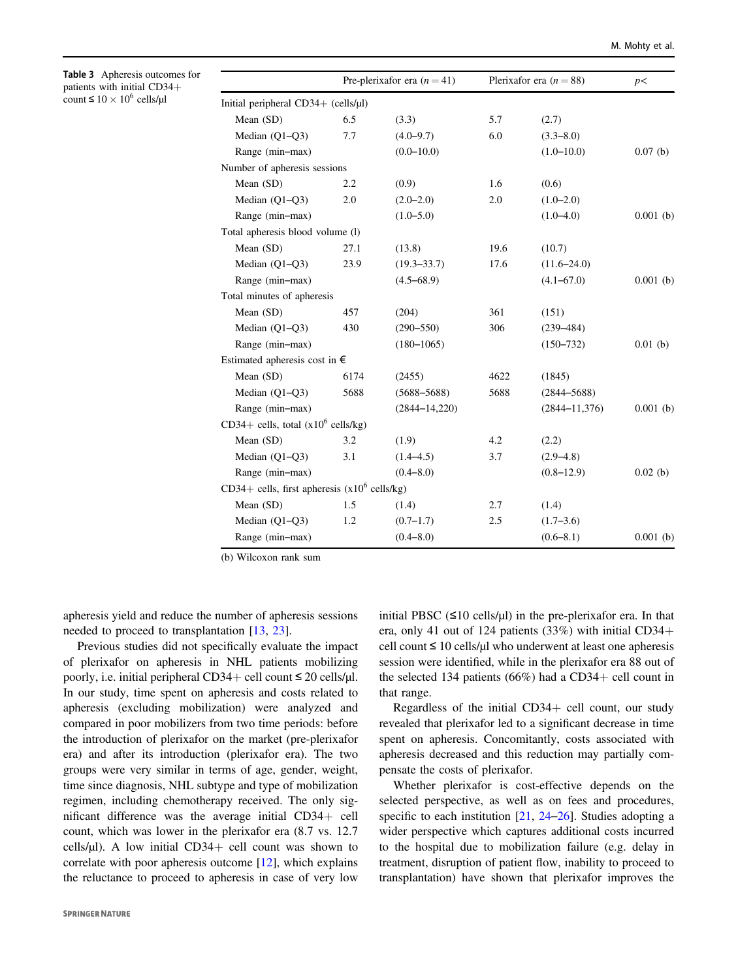<span id="page-5-0"></span>

| Table 3 Apheresis outcomes for<br>patients with initial CD34+ |                                                         | Pre-plerixafor era $(n = 41)$ |                    | Plerixafor era $(n = 88)$ |                   | p<          |  |
|---------------------------------------------------------------|---------------------------------------------------------|-------------------------------|--------------------|---------------------------|-------------------|-------------|--|
| count ≤ $10 \times 10^6$ cells/µl                             | Initial peripheral CD34+ (cells/µl)                     |                               |                    |                           |                   |             |  |
|                                                               | Mean (SD)                                               | 6.5                           | (3.3)              | 5.7                       | (2.7)             |             |  |
|                                                               | Median (Q1-Q3)                                          | 7.7                           | $(4.0 - 9.7)$      | 6.0                       | $(3.3 - 8.0)$     |             |  |
|                                                               | Range (min-max)                                         |                               | $(0.0 - 10.0)$     |                           | $(1.0 - 10.0)$    | $0.07$ (b)  |  |
|                                                               | Number of apheresis sessions                            |                               |                    |                           |                   |             |  |
|                                                               | Mean (SD)                                               | 2.2                           | (0.9)              | 1.6                       | (0.6)             |             |  |
|                                                               | Median (Q1-Q3)                                          | 2.0                           | $(2.0 - 2.0)$      | $2.0\,$                   | $(1.0 - 2.0)$     |             |  |
|                                                               | Range (min-max)                                         |                               | $(1.0 - 5.0)$      |                           | $(1.0 - 4.0)$     | $0.001$ (b) |  |
|                                                               | Total apheresis blood volume (l)                        |                               |                    |                           |                   |             |  |
|                                                               | Mean (SD)                                               | 27.1                          | (13.8)             | 19.6                      | (10.7)            |             |  |
|                                                               | Median $(Q1-Q3)$                                        | 23.9                          | $(19.3 - 33.7)$    | 17.6                      | $(11.6 - 24.0)$   |             |  |
|                                                               | Range (min-max)                                         |                               | $(4.5 - 68.9)$     |                           | $(4.1 - 67.0)$    | $0.001$ (b) |  |
|                                                               | Total minutes of apheresis                              |                               |                    |                           |                   |             |  |
|                                                               | Mean (SD)                                               | 457                           | (204)              | 361                       | (151)             |             |  |
|                                                               | Median (Q1-Q3)                                          | 430                           | $(290 - 550)$      | 306                       | $(239 - 484)$     |             |  |
|                                                               | Range (min-max)                                         |                               | $(180 - 1065)$     |                           | $(150 - 732)$     | $0.01$ (b)  |  |
|                                                               | Estimated apheresis cost in $\epsilon$                  |                               |                    |                           |                   |             |  |
|                                                               | Mean (SD)                                               | 6174                          | (2455)             | 4622                      | (1845)            |             |  |
|                                                               | Median $(Q1-Q3)$                                        | 5688                          | $(5688 - 5688)$    | 5688                      | $(2844 - 5688)$   |             |  |
|                                                               | Range (min-max)                                         |                               | $(2844 - 14, 220)$ |                           | $(2844 - 11,376)$ | $0.001$ (b) |  |
|                                                               | CD34+ cells, total $(x10^6 \text{ cells/kg})$           |                               |                    |                           |                   |             |  |
|                                                               | Mean (SD)                                               | 3.2                           | (1.9)              | 4.2                       | (2.2)             |             |  |
|                                                               | Median $(Q1-Q3)$                                        | 3.1                           | $(1.4 - 4.5)$      | 3.7                       | $(2.9 - 4.8)$     |             |  |
|                                                               | Range (min-max)                                         |                               | $(0.4 - 8.0)$      |                           | $(0.8 - 12.9)$    | $0.02$ (b)  |  |
|                                                               | CD34+ cells, first apheresis $(x10^6 \text{ cells/kg})$ |                               |                    |                           |                   |             |  |
|                                                               | Mean (SD)                                               | 1.5                           | (1.4)              | 2.7                       | (1.4)             |             |  |
|                                                               | Median $(Q1-Q3)$                                        | 1.2                           | $(0.7-1.7)$        | 2.5                       | $(1.7 - 3.6)$     |             |  |
|                                                               | Range (min-max)                                         |                               | $(0.4 - 8.0)$      |                           | $(0.6 - 8.1)$     | $0.001$ (b) |  |

(b) Wilcoxon rank sum

apheresis yield and reduce the number of apheresis sessions needed to proceed to transplantation [\[13](#page-8-0), [23](#page-8-0)].

Previous studies did not specifically evaluate the impact of plerixafor on apheresis in NHL patients mobilizing poorly, i.e. initial peripheral CD34+ cell count  $\leq 20$  cells/ $\mu$ l. In our study, time spent on apheresis and costs related to apheresis (excluding mobilization) were analyzed and compared in poor mobilizers from two time periods: before the introduction of plerixafor on the market (pre-plerixafor era) and after its introduction (plerixafor era). The two groups were very similar in terms of age, gender, weight, time since diagnosis, NHL subtype and type of mobilization regimen, including chemotherapy received. The only significant difference was the average initial CD34+ cell count, which was lower in the plerixafor era (8.7 vs. 12.7 cells/ $\mu$ l). A low initial CD34+ cell count was shown to correlate with poor apheresis outcome [\[12](#page-8-0)], which explains the reluctance to proceed to apheresis in case of very low 
> initial PBSC  $(≤10$  cells/ $µ$ l) in the pre-plerixafor era. In that era, only 41 out of 124 patients (33%) with initial CD34+ cell count  $\leq 10$  cells/ $\mu$ l who underwent at least one apheresis session were identified, while in the plerixafor era 88 out of the selected 134 patients (66%) had a CD34+ cell count in that range.

> Regardless of the initial CD34+ cell count, our study revealed that plerixafor led to a significant decrease in time spent on apheresis. Concomitantly, costs associated with apheresis decreased and this reduction may partially compensate the costs of plerixafor.

> Whether plerixafor is cost-effective depends on the selected perspective, as well as on fees and procedures, specific to each institution  $[21, 24-26]$  $[21, 24-26]$  $[21, 24-26]$  $[21, 24-26]$  $[21, 24-26]$  $[21, 24-26]$ . Studies adopting a wider perspective which captures additional costs incurred to the hospital due to mobilization failure (e.g. delay in treatment, disruption of patient flow, inability to proceed to transplantation) have shown that plerixafor improves the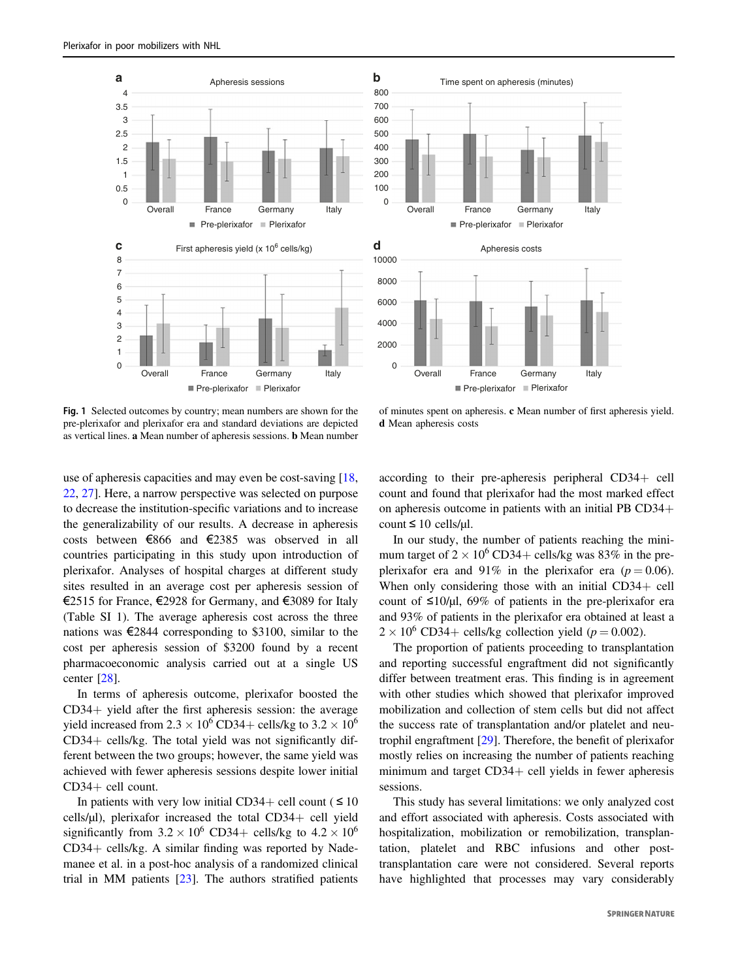<span id="page-6-0"></span>



Fig. 1 Selected outcomes by country; mean numbers are shown for the pre-plerixafor and plerixafor era and standard deviations are depicted as vertical lines. a Mean number of apheresis sessions. b Mean number

of minutes spent on apheresis. c Mean number of first apheresis yield. d Mean apheresis costs

use of apheresis capacities and may even be cost-saving [[18,](#page-8-0) [22](#page-8-0), [27\]](#page-8-0). Here, a narrow perspective was selected on purpose to decrease the institution-specific variations and to increase the generalizability of our results. A decrease in apheresis costs between €866 and €2385 was observed in all countries participating in this study upon introduction of plerixafor. Analyses of hospital charges at different study sites resulted in an average cost per apheresis session of €2515 for France, €2928 for Germany, and €3089 for Italy (Table SI 1). The average apheresis cost across the three nations was €2844 corresponding to \$3100, similar to the cost per apheresis session of \$3200 found by a recent pharmacoeconomic analysis carried out at a single US center [[28\]](#page-8-0).

In terms of apheresis outcome, plerixafor boosted the CD34+ yield after the first apheresis session: the average yield increased from  $2.3 \times 10^6$  CD34+ cells/kg to  $3.2 \times 10^6$ CD34+ cells/kg. The total yield was not significantly different between the two groups; however, the same yield was achieved with fewer apheresis sessions despite lower initial CD34+ cell count.

In patients with very low initial CD34+ cell count  $( \le 10$ cells/µl), plerixafor increased the total CD34+ cell yield significantly from  $3.2 \times 10^6$  CD34+ cells/kg to  $4.2 \times 10^6$ CD34+ cells/kg. A similar finding was reported by Nademanee et al. in a post-hoc analysis of a randomized clinical trial in MM patients [[23\]](#page-8-0). The authors stratified patients according to their pre-apheresis peripheral CD34+ cell count and found that plerixafor had the most marked effect on apheresis outcome in patients with an initial PB CD34+ count  $\leq 10$  cells/µl.

In our study, the number of patients reaching the minimum target of  $2 \times 10^6$  CD34+ cells/kg was 83% in the preplerixafor era and 91% in the plerixafor era ( $p = 0.06$ ). When only considering those with an initial CD34+ cell count of  $\leq 10/\mu$ l, 69% of patients in the pre-plerixafor era and 93% of patients in the plerixafor era obtained at least a  $2 \times 10^6$  CD34+ cells/kg collection yield ( $p = 0.002$ ).

The proportion of patients proceeding to transplantation and reporting successful engraftment did not significantly differ between treatment eras. This finding is in agreement with other studies which showed that plerixafor improved mobilization and collection of stem cells but did not affect the success rate of transplantation and/or platelet and neutrophil engraftment [\[29](#page-8-0)]. Therefore, the benefit of plerixafor mostly relies on increasing the number of patients reaching minimum and target CD34+ cell yields in fewer apheresis sessions.

This study has several limitations: we only analyzed cost and effort associated with apheresis. Costs associated with hospitalization, mobilization or remobilization, transplantation, platelet and RBC infusions and other posttransplantation care were not considered. Several reports have highlighted that processes may vary considerably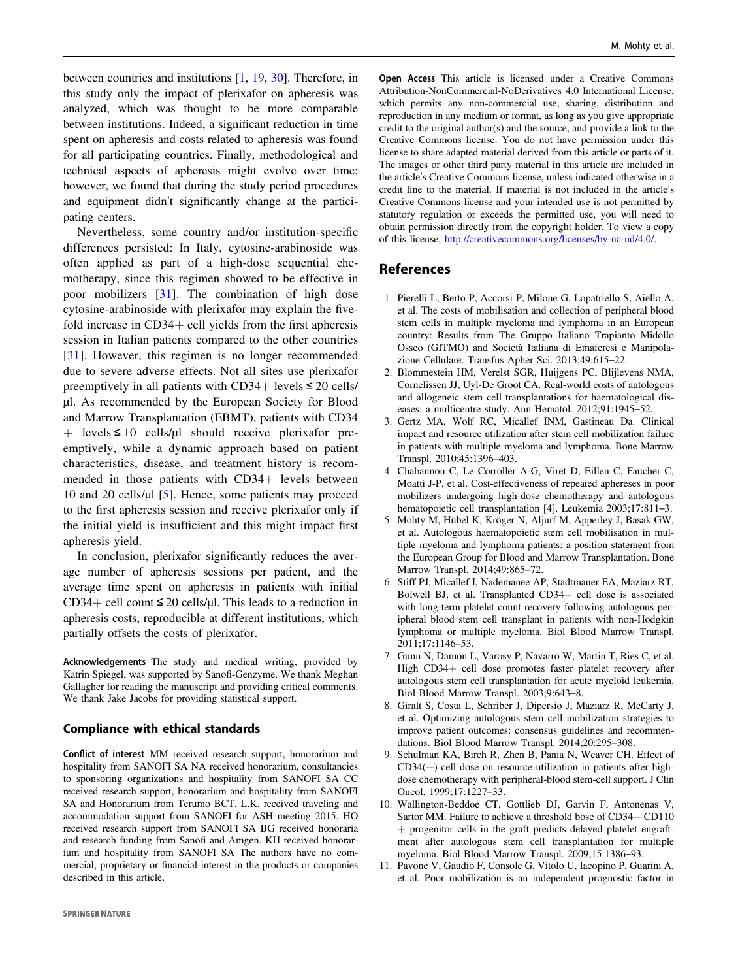<span id="page-7-0"></span>between countries and institutions [1, [19](#page-8-0), [30\]](#page-8-0). Therefore, in this study only the impact of plerixafor on apheresis was analyzed, which was thought to be more comparable between institutions. Indeed, a significant reduction in time spent on apheresis and costs related to apheresis was found for all participating countries. Finally, methodological and technical aspects of apheresis might evolve over time; however, we found that during the study period procedures and equipment didn't significantly change at the participating centers.

Nevertheless, some country and/or institution-specific differences persisted: In Italy, cytosine-arabinoside was often applied as part of a high-dose sequential chemotherapy, since this regimen showed to be effective in poor mobilizers [[31\]](#page-8-0). The combination of high dose cytosine-arabinoside with plerixafor may explain the fivefold increase in CD34+ cell yields from the first apheresis session in Italian patients compared to the other countries [\[31\]](#page-8-0). However, this regimen is no longer recommended due to severe adverse effects. Not all sites use plerixafor preemptively in all patients with  $CD34+$  levels  $\leq 20$  cells/ µl. As recommended by the European Society for Blood and Marrow Transplantation (EBMT), patients with CD34  $+$  levels  $\leq 10$  cells/ $\mu$ l should receive plerixafor preemptively, while a dynamic approach based on patient characteristics, disease, and treatment history is recommended in those patients with CD34+ levels between 10 and 20 cells/µl [5]. Hence, some patients may proceed to the first apheresis session and receive plerixafor only if the initial yield is insufficient and this might impact first apheresis yield.

In conclusion, plerixafor significantly reduces the average number of apheresis sessions per patient, and the average time spent on apheresis in patients with initial CD34+ cell count  $\leq$  20 cells/µl. This leads to a reduction in apheresis costs, reproducible at different institutions, which partially offsets the costs of plerixafor.

Acknowledgements The study and medical writing, provided by Katrin Spiegel, was supported by Sanofi-Genzyme. We thank Meghan Gallagher for reading the manuscript and providing critical comments. We thank Jake Jacobs for providing statistical support.

#### Compliance with ethical standards

Conflict of interest MM received research support, honorarium and hospitality from SANOFI SA NA received honorarium, consultancies to sponsoring organizations and hospitality from SANOFI SA CC received research support, honorarium and hospitality from SANOFI SA and Honorarium from Terumo BCT. L.K. received traveling and accommodation support from SANOFI for ASH meeting 2015. HO received research support from SANOFI SA BG received honoraria and research funding from Sanofi and Amgen. KH received honorarium and hospitality from SANOFI SA The authors have no commercial, proprietary or financial interest in the products or companies described in this article.

Open Access This article is licensed under a Creative Commons Attribution-NonCommercial-NoDerivatives 4.0 International License, which permits any non-commercial use, sharing, distribution and reproduction in any medium or format, as long as you give appropriate credit to the original author(s) and the source, and provide a link to the Creative Commons license. You do not have permission under this license to share adapted material derived from this article or parts of it. The images or other third party material in this article are included in the article's Creative Commons license, unless indicated otherwise in a credit line to the material. If material is not included in the article's Creative Commons license and your intended use is not permitted by statutory regulation or exceeds the permitted use, you will need to obtain permission directly from the copyright holder. To view a copy of this license, [http://creativecommons.org/licenses/by-nc-nd/4.0/.](http://creativecommons.org/licenses/by-nc-nd/4.0/)

# References

- 1. Pierelli L, Berto P, Accorsi P, Milone G, Lopatriello S, Aiello A, et al. The costs of mobilisation and collection of peripheral blood stem cells in multiple myeloma and lymphoma in an European country: Results from The Gruppo Italiano Trapianto Midollo Osseo (GITMO) and Società Italiana di Emaferesi e Manipolazione Cellulare. Transfus Apher Sci. 2013;49:615–22.
- 2. Blommestein HM, Verelst SGR, Huijgens PC, Blijlevens NMA, Cornelissen JJ, Uyl-De Groot CA. Real-world costs of autologous and allogeneic stem cell transplantations for haematological diseases: a multicentre study. Ann Hematol. 2012;91:1945–52.
- 3. Gertz MA, Wolf RC, Micallef INM, Gastineau Da. Clinical impact and resource utilization after stem cell mobilization failure in patients with multiple myeloma and lymphoma. Bone Marrow Transpl. 2010;45:1396–403.
- 4. Chabannon C, Le Corroller A-G, Viret D, Eillen C, Faucher C, Moatti J-P, et al. Cost-effectiveness of repeated aphereses in poor mobilizers undergoing high-dose chemotherapy and autologous hematopoietic cell transplantation [4]. Leukemia 2003;17:811-3.
- 5. Mohty M, Hübel K, Kröger N, Aljurf M, Apperley J, Basak GW, et al. Autologous haematopoietic stem cell mobilisation in multiple myeloma and lymphoma patients: a position statement from the European Group for Blood and Marrow Transplantation. Bone Marrow Transpl. 2014;49:865–72.
- 6. Stiff PJ, Micallef I, Nademanee AP, Stadtmauer EA, Maziarz RT, Bolwell BJ, et al. Transplanted CD34+ cell dose is associated with long-term platelet count recovery following autologous peripheral blood stem cell transplant in patients with non-Hodgkin lymphoma or multiple myeloma. Biol Blood Marrow Transpl. 2011;17:1146–53.
- 7. Gunn N, Damon L, Varosy P, Navarro W, Martin T, Ries C, et al. High CD34+ cell dose promotes faster platelet recovery after autologous stem cell transplantation for acute myeloid leukemia. Biol Blood Marrow Transpl. 2003;9:643–8.
- 8. Giralt S, Costa L, Schriber J, Dipersio J, Maziarz R, McCarty J, et al. Optimizing autologous stem cell mobilization strategies to improve patient outcomes: consensus guidelines and recommendations. Biol Blood Marrow Transpl. 2014;20:295–308.
- 9. Schulman KA, Birch R, Zhen B, Pania N, Weaver CH. Effect of  $CD34(+)$  cell dose on resource utilization in patients after highdose chemotherapy with peripheral-blood stem-cell support. J Clin Oncol. 1999;17:1227–33.
- 10. Wallington-Beddoe CT, Gottlieb DJ, Garvin F, Antonenas V, Sartor MM. Failure to achieve a threshold bose of CD34+ CD110 + progenitor cells in the graft predicts delayed platelet engraftment after autologous stem cell transplantation for multiple myeloma. Biol Blood Marrow Transpl. 2009;15:1386–93.
- 11. Pavone V, Gaudio F, Console G, Vitolo U, Iacopino P, Guarini A, et al. Poor mobilization is an independent prognostic factor in